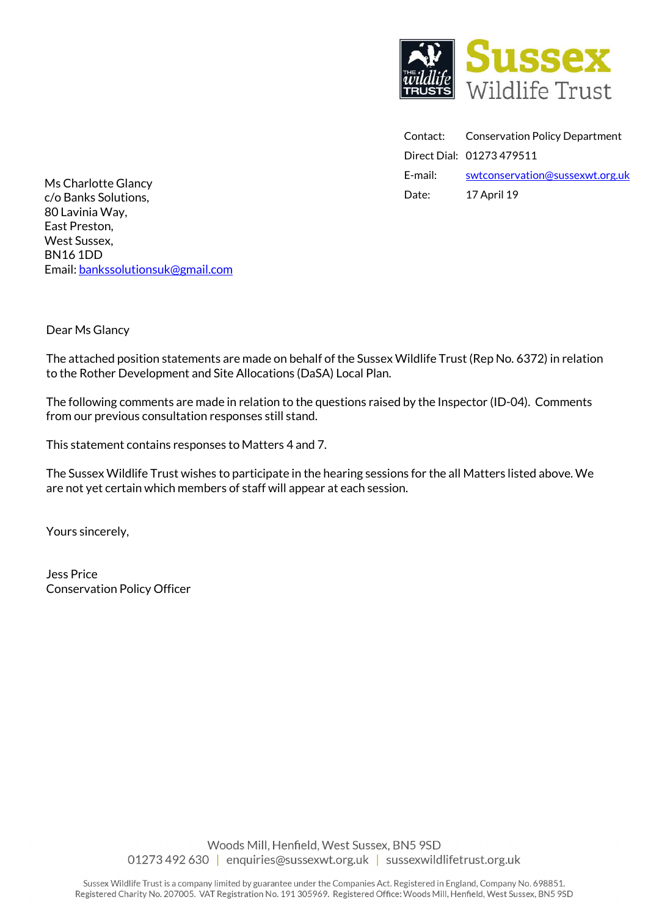

Contact: Conservation Policy Department Direct Dial: 01273 479511 E-mail: swtconservation@sussexwt.org.uk Date: 17 April 19

Ms Charlotte Glancy c/o Banks Solutions, 80 Lavinia Way, East Preston, West Sussex, BN16 1DD Email: bankssolutionsuk@gmail.com

Dear Ms Glancy

The attached position statements are made on behalf of the Sussex Wildlife Trust (Rep No. 6372) in relation to the Rother Development and Site Allocations (DaSA) Local Plan.

The following comments are made in relation to the questions raised by the Inspector (ID-04). Comments from our previous consultation responses still stand.

This statement contains responses to Matters 4 and 7.

The Sussex Wildlife Trust wishes to participate in the hearing sessions for the all Matters listed above. We are not yet certain which members of staff will appear at each session.

Yours sincerely,

Jess Price Conservation Policy Officer

> Woods Mill, Henfield, West Sussex, BN5 9SD 01273 492 630 | enquiries@sussexwt.org.uk | sussexwildlifetrust.org.uk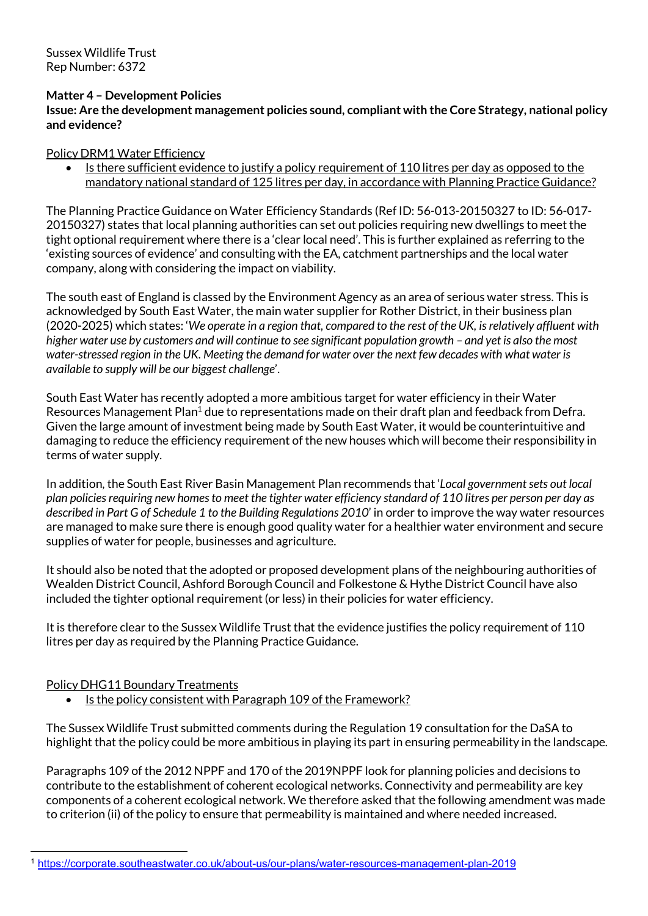Sussex Wildlife Trust Rep Number: 6372

### **Matter 4 – Development Policies**

**Issue: Are the development management policies sound, compliant with the Core Strategy, national policy and evidence?**

### Policy DRM1 Water Efficiency

• Is there sufficient evidence to justify a policy requirement of 110 litres per day as opposed to the mandatory national standard of 125 litres per day, in accordance with Planning Practice Guidance?

The Planning Practice Guidance on Water Efficiency Standards (Ref ID: 56-013-20150327 to ID: 56-017- 20150327) states that local planning authorities can set out policies requiring new dwellings to meet the tight optional requirement where there is a 'clear local need'. This is further explained as referring to the 'existing sources of evidence' and consulting with the EA, catchment partnerships and the local water company, along with considering the impact on viability.

The south east of England is classed by the Environment Agency as an area of serious water stress. This is acknowledged by South East Water, the main water supplier for Rother District, in their business plan (2020-2025) which states: '*We operate in a region that, compared to the rest of the UK, is relatively affluent with higher water use by customers and will continue to see significant population growth – and yet is also the most water-stressed region in the UK. Meeting the demand for water over the next few decades with what water is available to supply will be our biggest challenge*'.

South East Water has recently adopted a more ambitious target for water efficiency in their Water Resources Management Plan<sup>1</sup> due to representations made on their draft plan and feedback from Defra. Given the large amount of investment being made by South East Water, it would be counterintuitive and damaging to reduce the efficiency requirement of the new houses which will become their responsibility in terms of water supply.

In addition, the South East River Basin Management Plan recommends that '*Local government sets out local plan policies requiring new homes to meet the tighter water efficiency standard of 110 litres per person per day as described in Part G of Schedule 1 to the Building Regulations 2010*' in order to improve the way water resources are managed to make sure there is enough good quality water for a healthier water environment and secure supplies of water for people, businesses and agriculture.

It should also be noted that the adopted or proposed development plans of the neighbouring authorities of Wealden District Council, Ashford Borough Council and Folkestone & Hythe District Council have also included the tighter optional requirement(or less) in their policies for water efficiency.

It is therefore clear to the Sussex Wildlife Trust that the evidence justifies the policy requirement of 110 litres per day as required by the Planning Practice Guidance.

### Policy DHG11 Boundary Treatments

Is the policy consistent with Paragraph 109 of the Framework?

The Sussex Wildlife Trust submitted comments during the Regulation 19 consultation for the DaSA to highlight that the policy could be more ambitious in playing its part in ensuring permeability in the landscape.

Paragraphs 109 of the 2012 NPPF and 170 of the 2019NPPF look for planning policies and decisions to contribute to the establishment of coherent ecological networks. Connectivity and permeability are key components of a coherent ecological network. We therefore asked that the following amendment was made to criterion (ii) of the policy to ensure that permeability is maintained and where needed increased.

 <sup>1</sup> https://corporate.southeastwater.co.uk/about-us/our-plans/water-resources-management-plan-2019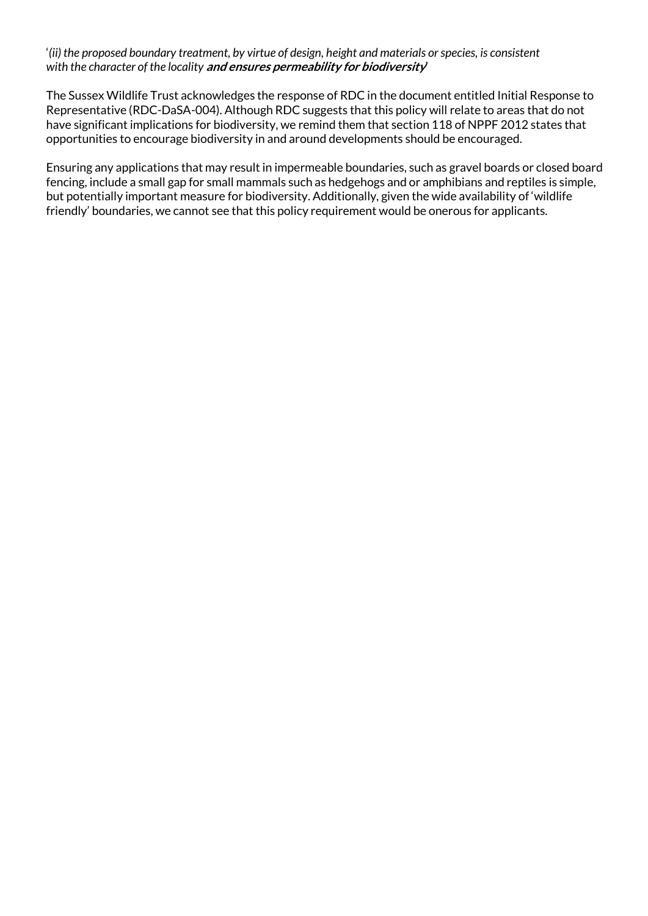## '*(ii) the proposed boundary treatment, by virtue of design, height and materials or species, is consistent with the character of the locality* **and ensures permeability for biodiversity'**

The Sussex Wildlife Trust acknowledges the response of RDC in the document entitled Initial Response to Representative (RDC-DaSA-004). Although RDC suggests that this policy will relate to areas that do not have significant implications for biodiversity, we remind them that section 118 of NPPF 2012 states that opportunities to encourage biodiversity in and around developments should be encouraged.

Ensuring any applications that may result in impermeable boundaries, such as gravel boards or closed board fencing, include a small gap for small mammals such as hedgehogs and or amphibians and reptiles is simple, but potentially important measure for biodiversity. Additionally, given the wide availability of 'wildlife friendly' boundaries, we cannot see that this policy requirement would be onerous for applicants.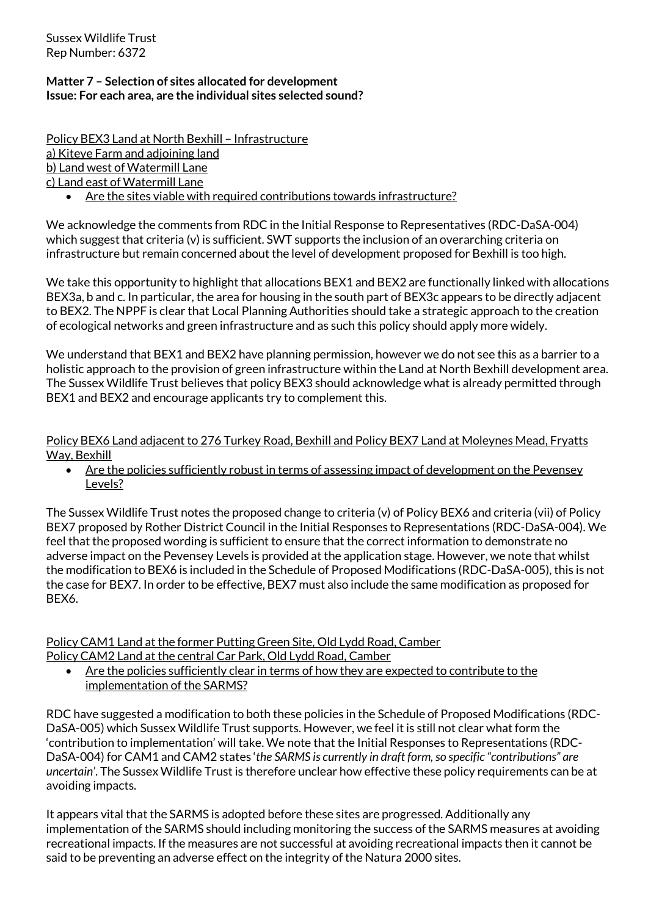Sussex Wildlife Trust Rep Number: 6372

# **Matter 7 – Selection of sites allocated for development Issue: For each area, are the individual sites selected sound?**

Policy BEX3 Land at North Bexhill – Infrastructure a) Kiteye Farm and adjoining land b) Land west of Watermill Lane c) Land east of Watermill Lane

Are the sites viable with required contributions towards infrastructure?

We acknowledge the comments from RDC in the Initial Response to Representatives (RDC-DaSA-004) which suggest that criteria (v) is sufficient. SWT supports the inclusion of an overarching criteria on infrastructure but remain concerned about the level of development proposed for Bexhill is too high.

We take this opportunity to highlight that allocations BEX1 and BEX2 are functionally linked with allocations BEX3a, b and c. In particular, the area for housing in the south part of BEX3c appears to be directly adjacent to BEX2. The NPPF is clear that Local Planning Authorities should take a strategic approach to the creation of ecological networks and green infrastructure and as such this policy should apply more widely.

We understand that BEX1 and BEX2 have planning permission, however we do not see this as a barrier to a holistic approach to the provision of green infrastructure within the Land at North Bexhill development area. The Sussex Wildlife Trust believes that policy BEX3 should acknowledge what is already permitted through BEX1 and BEX2 and encourage applicants try to complement this.

Policy BEX6 Land adjacent to 276 Turkey Road, Bexhill and Policy BEX7 Land at Moleynes Mead, Fryatts Way, Bexhill

• Are the policies sufficiently robust in terms of assessing impact of development on the Pevensey Levels?

The Sussex Wildlife Trust notes the proposed change to criteria (v) of Policy BEX6 and criteria (vii) of Policy BEX7 proposed by Rother District Council in the Initial Responses to Representations (RDC-DaSA-004). We feel that the proposed wording is sufficient to ensure that the correct information to demonstrate no adverse impact on the Pevensey Levels is provided at the application stage. However, we note that whilst the modification to BEX6 is included in the Schedule of Proposed Modifications (RDC-DaSA-005), this is not the case for BEX7. In order to be effective, BEX7 must also include the same modification as proposed for BEX6.

Policy CAM1 Land at the former Putting Green Site, Old Lydd Road, Camber Policy CAM2 Land at the central Car Park, Old Lydd Road, Camber

Are the policies sufficiently clear in terms of how they are expected to contribute to the implementation of the SARMS?

RDC have suggested a modification to both these policies in the Schedule of Proposed Modifications (RDC-DaSA-005) which Sussex Wildlife Trust supports. However, we feel it is still not clear what form the 'contribution to implementation' will take. We note that the Initial Responses to Representations (RDC-DaSA-004) for CAM1 and CAM2 states '*the SARMS is currently in draft form, so specific "contributions" are uncertain'*. The Sussex Wildlife Trustis therefore unclear how effective these policy requirements can be at avoiding impacts.

It appears vital that the SARMS is adopted before these sites are progressed. Additionally any implementation of the SARMS should including monitoring the success of the SARMS measures at avoiding recreational impacts. If the measures are not successful at avoiding recreational impacts then it cannot be said to be preventing an adverse effect on the integrity of the Natura 2000 sites.